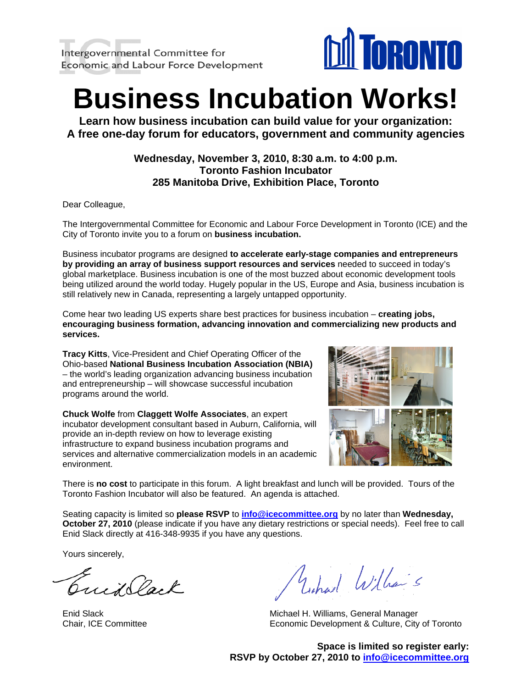

**Learn how business incubation can build value for your organization: A free one-day forum for educators, government and community agencies**

#### **Wednesday, November 3, 2010, 8:30 a.m. to 4:00 p.m. Toronto Fashion Incubator 285 Manitoba Drive, Exhibition Place, Toronto**

Dear Colleague,

The Intergovernmental Committee for Economic and Labour Force Development in Toronto (ICE) and the City of Toronto invite you to a forum on **business incubation.**

Business incubator programs are designed **to accelerate early-stage companies and entrepreneurs by providing an array of business support resources and services** needed to succeed in today's global marketplace. Business incubation is one of the most buzzed about economic development tools being utilized around the world today. Hugely popular in the US, Europe and Asia, business incubation is still relatively new in Canada, representing a largely untapped opportunity.

Come hear two leading US experts share best practices for business incubation – **creating jobs, encouraging business formation, advancing innovation and commercializing new products and services.** 

**Tracy Kitts**, Vice-President and Chief Operating Officer of the Ohio-based **National Business Incubation Association (NBIA)** – the world's leading organization advancing business incubation and entrepreneurship – will showcase successful incubation programs around the world.

**Chuck Wolfe** from **Claggett Wolfe Associates**, an expert incubator development consultant based in Auburn, California, will provide an in-depth review on how to leverage existing infrastructure to expand business incubation programs and services and alternative commercialization models in an a cademic environment.



There is **no cost** to participate in this forum. A light breakfast and lunch will be provided. Tours of the Toronto Fashion Incubator will also be featured. An agenda is attached.

Seating capacity is limited so **please RSVP** to **[info@icecommittee.org](mailto:info@icecommittee.org)** by no later than **Wednesday, October 27, 2010** (please indicate if you have any dietary restrictions or special needs). Feel free to call Enid Slack directly at 416-348-9935 if you have any questions.

Yours sincerely,

Emillack

yihad William's

Enid Slack Michael H. Williams, General Manager Chair, ICE Committee Economic Development & Culture, City of Toronto

**Space is limited so register early: RSVP by October 27, 2010 to info@icecommittee.org**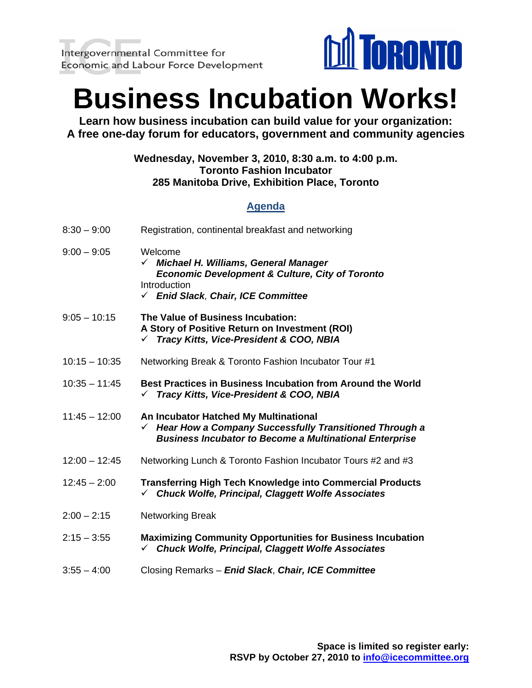

**Learn how business incubation can build value for your organization: A free one-day forum for educators, government and community agencies**

#### **Wednesday, November 3, 2010, 8:30 a.m. to 4:00 p.m. Toronto Fashion Incubator 285 Manitoba Drive, Exhibition Place, Toronto**

### **Agenda**

| $8:30 - 9:00$   | Registration, continental breakfast and networking                                                                                                                    |
|-----------------|-----------------------------------------------------------------------------------------------------------------------------------------------------------------------|
| $9:00 - 9:05$   | Welcome<br>√ Michael H. Williams, General Manager<br><b>Economic Development &amp; Culture, City of Toronto</b><br>Introduction<br>└ Enid Slack, Chair, ICE Committee |
| $9:05 - 10:15$  | The Value of Business Incubation:<br>A Story of Positive Return on Investment (ROI)<br>Tracy Kitts, Vice-President & COO, NBIA<br>$\checkmark$                        |
| $10:15 - 10:35$ | Networking Break & Toronto Fashion Incubator Tour #1                                                                                                                  |
| $10:35 - 11:45$ | Best Practices in Business Incubation from Around the World<br>Tracy Kitts, Vice-President & COO, NBIA                                                                |
| $11:45 - 12:00$ | An Incubator Hatched My Multinational<br>Hear How a Company Successfully Transitioned Through a<br><b>Business Incubator to Become a Multinational Enterprise</b>     |
| $12:00 - 12:45$ | Networking Lunch & Toronto Fashion Incubator Tours #2 and #3                                                                                                          |
| $12:45 - 2:00$  | <b>Transferring High Tech Knowledge into Commercial Products</b><br><b>Chuck Wolfe, Principal, Claggett Wolfe Associates</b>                                          |
| $2:00 - 2:15$   | <b>Networking Break</b>                                                                                                                                               |
| $2:15 - 3:55$   | <b>Maximizing Community Opportunities for Business Incubation</b><br>√ Chuck Wolfe, Principal, Claggett Wolfe Associates                                              |
| $3:55 - 4:00$   | Closing Remarks - Enid Slack, Chair, ICE Committee                                                                                                                    |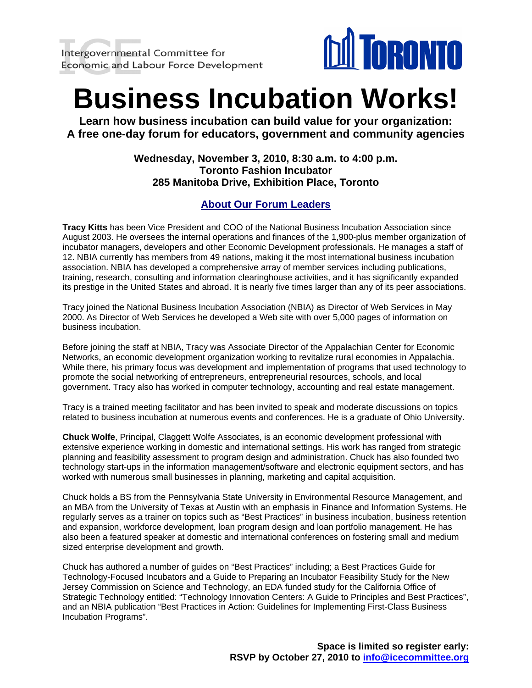

**Learn how business incubation can build value for your organization: A free one-day forum for educators, government and community agencies**

#### **Wednesday, November 3, 2010, 8:30 a.m. to 4:00 p.m. Toronto Fashion Incubator 285 Manitoba Drive, Exhibition Place, Toronto**

### **About Our Forum Leaders**

**Tracy Kitts** has been Vice President and COO of the National Business Incubation Association since August 2003. He oversees the internal operations and finances of the 1,900-plus member organization of incubator managers, developers and other Economic Development professionals. He manages a staff of 12. NBIA currently has members from 49 nations, making it the most international business incubation association. NBIA has developed a comprehensive array of member services including publications, training, research, consulting and information clearinghouse activities, and it has significantly expanded its prestige in the United States and abroad. It is nearly five times larger than any of its peer associations.

Tracy joined the National Business Incubation Association (NBIA) as Director of Web Services in May 2000. As Director of Web Services he developed a Web site with over 5,000 pages of information on business incubation.

Before joining the staff at NBIA, Tracy was Associate Director of the Appalachian Center for Economic Networks, an economic development organization working to revitalize rural economies in Appalachia. While there, his primary focus was development and implementation of programs that used technology to promote the social networking of entrepreneurs, entrepreneurial resources, schools, and local government. Tracy also has worked in computer technology, accounting and real estate management.

Tracy is a trained meeting facilitator and has been invited to speak and moderate discussions on topics related to business incubation at numerous events and conferences. He is a graduate of Ohio University.

**Chuck Wolfe**, Principal, Claggett Wolfe Associates, is an economic development professional with extensive experience working in domestic and international settings. His work has ranged from strategic planning and feasibility assessment to program design and administration. Chuck has also founded two technology start-ups in the information management/software and electronic equipment sectors, and has worked with numerous small businesses in planning, marketing and capital acquisition.

Chuck holds a BS from the Pennsylvania State University in Environmental Resource Management, and an MBA from the University of Texas at Austin with an emphasis in Finance and Information Systems. He regularly serves as a trainer on topics such as "Best Practices" in business incubation, business retention and expansion, workforce development, loan program design and loan portfolio management. He has also been a featured speaker at domestic and international conferences on fostering small and medium sized enterprise development and growth.

Chuck has authored a number of guides on "Best Practices" including; a Best Practices Guide for Technology-Focused Incubators and a Guide to Preparing an Incubator Feasibility Study for the New Jersey Commission on Science and Technology, an EDA funded study for the California Office of Strategic Technology entitled: "Technology Innovation Centers: A Guide to Principles and Best Practices", and an NBIA publication "Best Practices in Action: Guidelines for Implementing First-Class Business Incubation Programs".